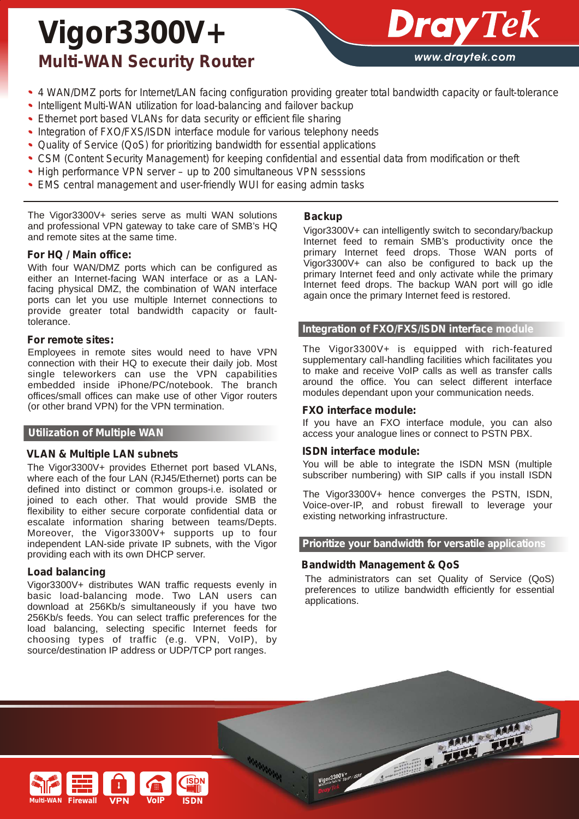# *Vigor3300V+ Multi-WAN Security Router*



- *4 WAN/DMZ ports for Internet/LAN facing configuration providing greater total bandwidth capacity or fault-tolerance*  $\bullet$
- *Intelligent Multi-WAN utilization for load-balancing and failover backup*  $\bullet$
- *Ethernet port based VLANs for data security or efficient file sharing*
- $\bullet$ *Integration of FXO/FXS/ISDN interface module for various telephony needs*
- *Quality of Service (QoS) for prioritizing bandwidth for essential applications*
- *CSM (Content Security Management) for keeping confidential and essential data from modification or theft*
- *High performance VPN server up to 200 simultaneous VPN sesssions*
- *EMS central management and user-friendly WUI for easing admin tasks*

The Vigor3300V+ series serve as multi WAN solutions and professional VPN gateway to take care of SMB's HQ and remote sites at the same time.

#### *For HQ / Main office:*

With four WAN/DMZ ports which can be configured as either an Internet-facing WAN interface or as a LANfacing physical DMZ, the combination of WAN interface ports can let you use multiple Internet connections to provide greater total bandwidth capacity or faulttolerance.

#### *For remote sites:*

Employees in remote sites would need to have VPN connection with their HQ to execute their daily job. Most single teleworkers can use the VPN capabilities embedded inside iPhone/PC/notebook. The branch offices/small offices can make use of other Vigor routers (or other brand VPN) for the VPN termination.

#### **Utilization of Multiple WAN**

#### *VLAN & Multiple LAN subnets*

The Vigor3300V+ provides Ethernet port based VLANs, where each of the four LAN (RJ45/Ethernet) ports can be defined into distinct or common groups-i.e. isolated or joined to each other. That would provide SMB the flexibility to either secure corporate confidential data or escalate information sharing between teams/Depts. Moreover, the Vigor3300V+ supports up to four independent LAN-side private IP subnets, with the Vigor providing each with its own DHCP server.

#### *Load balancing*

Vigor3300V+ distributes WAN traffic requests evenly in basic load-balancing mode. Two LAN users can download at 256Kb/s simultaneously if you have two 256Kb/s feeds. You can select traffic preferences for the load balancing, selecting specific Internet feeds for choosing types of traffic (e.g. VPN, VoIP), by source/destination IP address or UDP/TCP port ranges.

#### *Backup*

Vigor3300V+ can intelligently switch to secondary/backup Internet feed to remain SMB's productivity once the primary Internet feed drops. Those WAN ports of Vigor3300V+ can also be configured to back up the primary Internet feed and only activate while the primary Internet feed drops. The backup WAN port will go idle again once the primary Internet feed is restored.

#### **Integration of FXO/FXS/ISDN interface module**

The Vigor3300V+ is equipped with rich-featured supplementary call-handling facilities which facilitates you to make and receive VoIP calls as well as transfer calls around the office. You can select different interface modules dependant upon your communication needs.

#### *FXO interface module:*

If you have an FXO interface module, you can also access your analogue lines or connect to PSTN PBX.

#### *ISDN interface module:*

You will be able to integrate the ISDN MSN (multiple subscriber numbering) with SIP calls if you install ISDN

The Vigor3300V+ hence converges the PSTN, ISDN, Voice-over-IP, and robust firewall to leverage your existing networking infrastructure.

**Prioritize your bandwidth for versatile applications**

#### *Bandwidth Management & QoS*

The administrators can set Quality of Service (QoS) preferences to utilize bandwidth efficiently for essential applications.

Vigor 3300V the Assessment of the Contract of the Contract of the Contract of the Contract of the Contract of

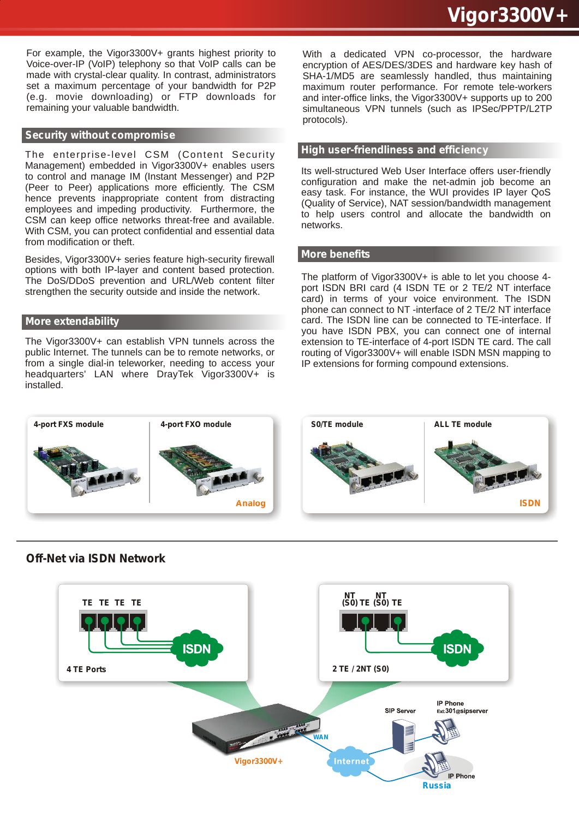For example, the Vigor3300V+ grants highest priority to Voice-over-IP (VoIP) telephony so that VoIP calls can be made with crystal-clear quality. In contrast, administrators set a maximum percentage of your bandwidth for P2P (e.g. movie downloading) or FTP downloads for remaining your valuable bandwidth.

#### **Security without compromise**

The enterprise-level CSM (Content Security Management) embedded in Vigor3300V+ enables users to control and manage IM (Instant Messenger) and P2P (Peer to Peer) applications more efficiently. The CSM hence prevents inappropriate content from distracting employees and impeding productivity. Furthermore, the CSM can keep office networks threat-free and available. With CSM, you can protect confidential and essential data from modification or theft.

Besides, Vigor3300V+ series feature high-security firewall options with both IP-layer and content based protection. The DoS/DDoS prevention and URL/Web content filter strengthen the security outside and inside the network.

#### **More extendability**

The Vigor3300V+ can establish VPN tunnels across the public Internet. The tunnels can be to remote networks, or from a single dial-in teleworker, needing to access your headquarters' LAN where DrayTek Vigor3300V+ is installed.

With a dedicated VPN co-processor, the hardware encryption of AES/DES/3DES and hardware key hash of SHA-1/MD5 are seamlessly handled, thus maintaining maximum router performance. For remote tele-workers and inter-office links, the Vigor3300V+ supports up to 200 simultaneous VPN tunnels (such as IPSec/PPTP/L2TP protocols).

#### **High user-friendliness and efficiency**

Its well-structured Web User Interface offers user-friendly configuration and make the net-admin job become an easy task. For instance, the WUI provides IP layer QoS (Quality of Service), NAT session/bandwidth management to help users control and allocate the bandwidth on networks.

#### **More benefits**

The platform of Vigor3300V+ is able to let you choose 4 port ISDN BRI card (4 ISDN TE or 2 TE/2 NT interface card) in terms of your voice environment. The ISDN phone can connect to NT -interface of 2 TE/2 NT interface card. The ISDN line can be connected to TE-interface. If you have ISDN PBX, you can connect one of internal extension to TE-interface of 4-port ISDN TE card. The call routing of Vigor3300V+ will enable ISDN MSN mapping to IP extensions for forming compound extensions.



### *Off-Net via ISDN Network*

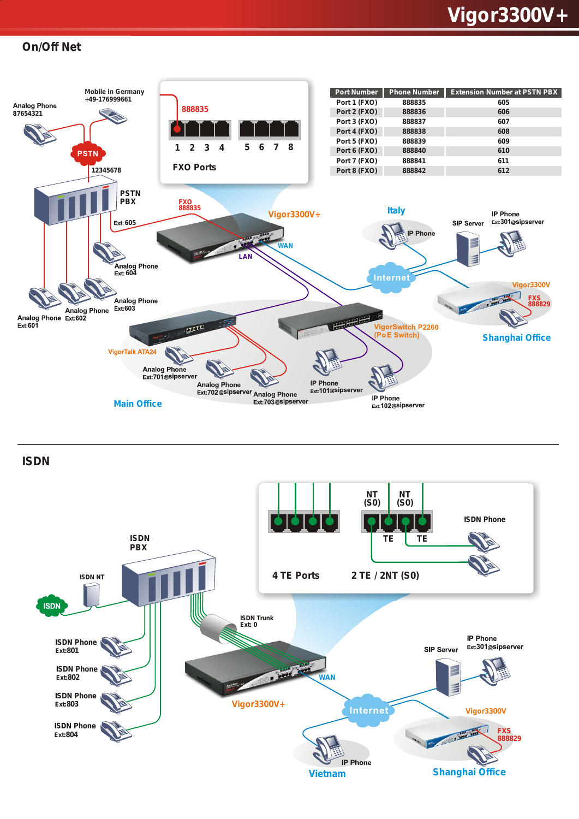## *Vigor3300V+*

#### *On/Off Net*



*ISDN*

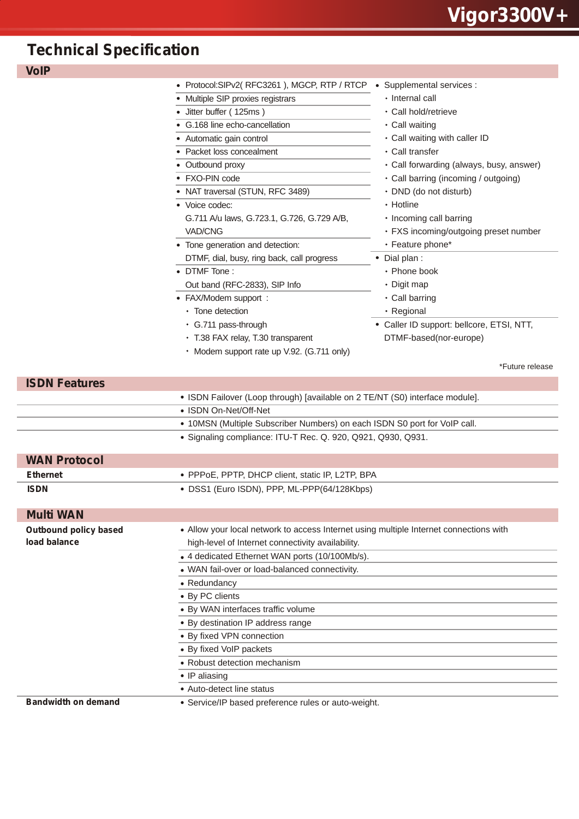## *Technical Specification*

| <b>VoIP</b>                  |                                                                                        |                                           |
|------------------------------|----------------------------------------------------------------------------------------|-------------------------------------------|
|                              | • Protocol:SIPv2(RFC3261), MGCP, RTP / RTCP                                            | • Supplemental services :                 |
|                              | Multiple SIP proxies registrars                                                        | • Internal call                           |
|                              | Jitter buffer (125ms)                                                                  | • Call hold/retrieve                      |
|                              | G.168 line echo-cancellation                                                           | • Call waiting                            |
|                              | Automatic gain control                                                                 | • Call waiting with caller ID             |
|                              | Packet loss concealment                                                                | • Call transfer                           |
|                              | • Outbound proxy                                                                       | • Call forwarding (always, busy, answer)  |
|                              | FXO-PIN code                                                                           | • Call barring (incoming / outgoing)      |
|                              | • NAT traversal (STUN, RFC 3489)                                                       | • DND (do not disturb)                    |
|                              | • Voice codec:                                                                         | • Hotline                                 |
|                              | G.711 A/u laws, G.723.1, G.726, G.729 A/B,                                             | • Incoming call barring                   |
|                              | VAD/CNG                                                                                | • FXS incoming/outgoing preset number     |
|                              | • Tone generation and detection:                                                       | • Feature phone*                          |
|                              | DTMF, dial, busy, ring back, call progress                                             | • Dial plan :                             |
|                              | • DTMF Tone:                                                                           | • Phone book                              |
|                              | Out band (RFC-2833), SIP Info                                                          | • Digit map                               |
|                              | • FAX/Modem support :                                                                  | • Call barring                            |
|                              | • Tone detection                                                                       | • Regional                                |
|                              | • G.711 pass-through                                                                   | • Caller ID support: bellcore, ETSI, NTT, |
|                              | • T.38 FAX relay, T.30 transparent                                                     | DTMF-based(nor-europe)                    |
|                              | • Modem support rate up V.92. (G.711 only)                                             |                                           |
|                              |                                                                                        | *Future release                           |
| <b>ISDN Features</b>         |                                                                                        |                                           |
|                              | • ISDN Failover (Loop through) [available on 2 TE/NT (S0) interface module].           |                                           |
|                              | • ISDN On-Net/Off-Net                                                                  |                                           |
|                              | • 10MSN (Multiple Subscriber Numbers) on each ISDN S0 port for VoIP call.              |                                           |
|                              | · Signaling compliance: ITU-T Rec. Q. 920, Q921, Q930, Q931.                           |                                           |
|                              |                                                                                        |                                           |
| <b>WAN Protocol</b>          |                                                                                        |                                           |
| <b>Ethernet</b>              | • PPPoE, PPTP, DHCP client, static IP, L2TP, BPA                                       |                                           |
| <b>ISDN</b>                  | • DSS1 (Euro ISDN), PPP, ML-PPP(64/128Kbps)                                            |                                           |
|                              |                                                                                        |                                           |
| <b>Multi WAN</b>             |                                                                                        |                                           |
| <b>Outbound policy based</b> | • Allow your local network to access Internet using multiple Internet connections with |                                           |
| load balance                 | high-level of Internet connectivity availability.                                      |                                           |
|                              | • 4 dedicated Ethernet WAN ports (10/100Mb/s).                                         |                                           |
|                              | • WAN fail-over or load-balanced connectivity.                                         |                                           |
|                              | • Redundancy                                                                           |                                           |
|                              | • By PC clients                                                                        |                                           |
|                              | · By WAN interfaces traffic volume                                                     |                                           |
|                              | • By destination IP address range                                                      |                                           |
|                              | • By fixed VPN connection                                                              |                                           |
|                              | • By fixed VoIP packets                                                                |                                           |
|                              | • Robust detection mechanism                                                           |                                           |
|                              | • IP aliasing                                                                          |                                           |
|                              |                                                                                        |                                           |
|                              | • Auto-detect line status                                                              |                                           |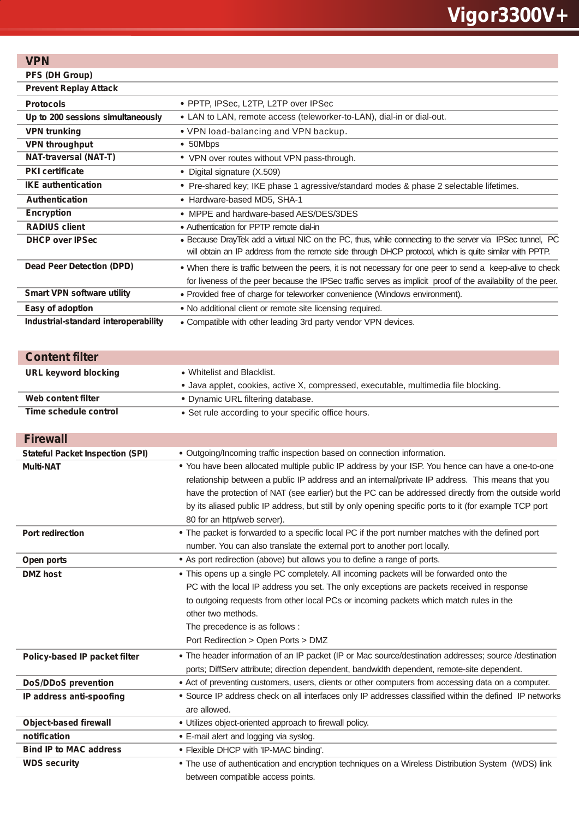## **VPN**

**PFS (DH Group)**

| <b>Prevent Replay Attack</b>         |                                                                                                                                                                                                                     |
|--------------------------------------|---------------------------------------------------------------------------------------------------------------------------------------------------------------------------------------------------------------------|
| <b>Protocols</b>                     | • PPTP, IPSec, L2TP, L2TP over IPSec                                                                                                                                                                                |
| Up to 200 sessions simultaneously    | • LAN to LAN, remote access (teleworker-to-LAN), dial-in or dial-out.                                                                                                                                               |
| <b>VPN trunking</b>                  | • VPN load-balancing and VPN backup.                                                                                                                                                                                |
| <b>VPN throughput</b>                | • 50Mbps                                                                                                                                                                                                            |
| <b>NAT-traversal (NAT-T)</b>         | • VPN over routes without VPN pass-through.                                                                                                                                                                         |
| <b>PKI</b> certificate               | • Digital signature (X.509)                                                                                                                                                                                         |
| <b>IKE</b> authentication            | • Pre-shared key; IKE phase 1 agressive/standard modes & phase 2 selectable lifetimes.                                                                                                                              |
| <b>Authentication</b>                | • Hardware-based MD5, SHA-1                                                                                                                                                                                         |
| <b>Encryption</b>                    | • MPPE and hardware-based AES/DES/3DES                                                                                                                                                                              |
| <b>RADIUS client</b>                 | • Authentication for PPTP remote dial-in                                                                                                                                                                            |
| <b>DHCP over IPSec</b>               | . Because DrayTek add a virtual NIC on the PC, thus, while connecting to the server via IPSec tunnel, PC<br>will obtain an IP address from the remote side through DHCP protocol, which is quite similar with PPTP. |
| Dead Peer Detection (DPD)            | . When there is traffic between the peers, it is not necessary for one peer to send a keep-alive to check                                                                                                           |
|                                      | for liveness of the peer because the IPSec traffic serves as implicit proof of the availability of the peer.                                                                                                        |
| <b>Smart VPN software utility</b>    | • Provided free of charge for teleworker convenience (Windows environment).                                                                                                                                         |
| Easy of adoption                     | • No additional client or remote site licensing required.                                                                                                                                                           |
| Industrial-standard interoperability | • Compatible with other leading 3rd party vendor VPN devices.                                                                                                                                                       |

| <b>Content filter</b>                   |                                                                                                         |
|-----------------------------------------|---------------------------------------------------------------------------------------------------------|
| <b>URL keyword blocking</b>             | • Whitelist and Blacklist.                                                                              |
|                                         | • Java applet, cookies, active X, compressed, executable, multimedia file blocking.                     |
| Web content filter                      | • Dynamic URL filtering database.                                                                       |
| Time schedule control                   | • Set rule according to your specific office hours.                                                     |
|                                         |                                                                                                         |
| <b>Firewall</b>                         |                                                                                                         |
| <b>Stateful Packet Inspection (SPI)</b> | • Outgoing/Incoming traffic inspection based on connection information.                                 |
| <b>Multi-NAT</b>                        | . You have been allocated multiple public IP address by your ISP. You hence can have a one-to-one       |
|                                         | relationship between a public IP address and an internal/private IP address. This means that you        |
|                                         | have the protection of NAT (see earlier) but the PC can be addressed directly from the outside world    |
|                                         | by its aliased public IP address, but still by only opening specific ports to it (for example TCP port  |
|                                         | 80 for an http/web server).                                                                             |
| <b>Port redirection</b>                 | • The packet is forwarded to a specific local PC if the port number matches with the defined port       |
|                                         | number. You can also translate the external port to another port locally.                               |
| Open ports                              | • As port redirection (above) but allows you to define a range of ports.                                |
| <b>DMZ</b> host                         | • This opens up a single PC completely. All incoming packets will be forwarded onto the                 |
|                                         | PC with the local IP address you set. The only exceptions are packets received in response              |
|                                         | to outgoing requests from other local PCs or incoming packets which match rules in the                  |
|                                         | other two methods.                                                                                      |
|                                         | The precedence is as follows :                                                                          |
|                                         | Port Redirection > Open Ports > DMZ                                                                     |
| Policy-based IP packet filter           | • The header information of an IP packet (IP or Mac source/destination addresses; source /destination   |
|                                         | ports; DiffServ attribute; direction dependent, bandwidth dependent, remote-site dependent.             |
| <b>DoS/DDoS prevention</b>              | • Act of preventing customers, users, clients or other computers from accessing data on a computer.     |
| IP address anti-spoofing                | • Source IP address check on all interfaces only IP addresses classified within the defined IP networks |
|                                         | are allowed.                                                                                            |
| <b>Object-based firewall</b>            | • Utilizes object-oriented approach to firewall policy.                                                 |
| notification                            | • E-mail alert and logging via syslog.                                                                  |
| <b>Bind IP to MAC address</b>           | • Flexible DHCP with 'IP-MAC binding'.                                                                  |
| <b>WDS security</b>                     | . The use of authentication and encryption techniques on a Wireless Distribution System (WDS) link      |
|                                         | between compatible access points.                                                                       |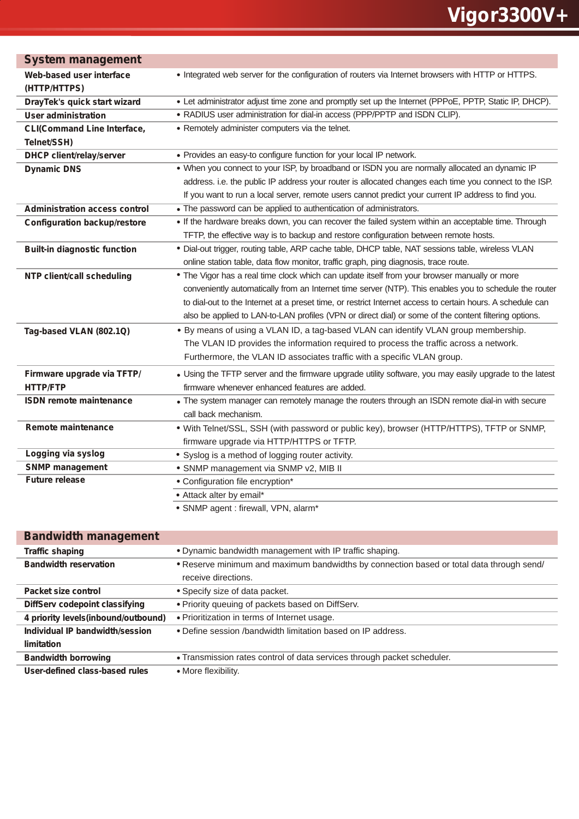| <b>System management</b>             |                                                                                                            |
|--------------------------------------|------------------------------------------------------------------------------------------------------------|
| Web-based user interface             | • Integrated web server for the configuration of routers via Internet browsers with HTTP or HTTPS.         |
| (HTTP/HTTPS)                         |                                                                                                            |
| DrayTek's quick start wizard         | • Let administrator adjust time zone and promptly set up the Internet (PPPoE, PPTP, Static IP, DHCP).      |
| <b>User administration</b>           | • RADIUS user administration for dial-in access (PPP/PPTP and ISDN CLIP).                                  |
| <b>CLI(Command Line Interface,</b>   | • Remotely administer computers via the telnet.                                                            |
| Telnet/SSH)                          |                                                                                                            |
| <b>DHCP client/relay/server</b>      | • Provides an easy-to configure function for your local IP network.                                        |
| <b>Dynamic DNS</b>                   | . When you connect to your ISP, by broadband or ISDN you are normally allocated an dynamic IP              |
|                                      | address. i.e. the public IP address your router is allocated changes each time you connect to the ISP.     |
|                                      | If you want to run a local server, remote users cannot predict your current IP address to find you.        |
| <b>Administration access control</b> | • The password can be applied to authentication of administrators.                                         |
| <b>Configuration backup/restore</b>  | . If the hardware breaks down, you can recover the failed system within an acceptable time. Through        |
|                                      | TFTP, the effective way is to backup and restore configuration between remote hosts.                       |
| <b>Built-in diagnostic function</b>  | · Dial-out trigger, routing table, ARP cache table, DHCP table, NAT sessions table, wireless VLAN          |
|                                      | online station table, data flow monitor, traffic graph, ping diagnosis, trace route.                       |
| NTP client/call scheduling           | • The Vigor has a real time clock which can update itself from your browser manually or more               |
|                                      | conveniently automatically from an Internet time server (NTP). This enables you to schedule the router     |
|                                      | to dial-out to the Internet at a preset time, or restrict Internet access to certain hours. A schedule can |
|                                      | also be applied to LAN-to-LAN profiles (VPN or direct dial) or some of the content filtering options.      |
| Tag-based VLAN (802.1Q)              | . By means of using a VLAN ID, a tag-based VLAN can identify VLAN group membership.                        |
|                                      | The VLAN ID provides the information required to process the traffic across a network.                     |
|                                      | Furthermore, the VLAN ID associates traffic with a specific VLAN group.                                    |
| Firmware upgrade via TFTP/           | • Using the TFTP server and the firmware upgrade utility software, you may easily upgrade to the latest    |
| <b>HTTP/FTP</b>                      | firmware whenever enhanced features are added.                                                             |
| <b>ISDN</b> remote maintenance       | . The system manager can remotely manage the routers through an ISDN remote dial-in with secure            |
|                                      | call back mechanism.                                                                                       |
| <b>Remote maintenance</b>            | . With Telnet/SSL, SSH (with password or public key), browser (HTTP/HTTPS), TFTP or SNMP,                  |
|                                      | firmware upgrade via HTTP/HTTPS or TFTP.                                                                   |
| Logging via syslog                   | • Syslog is a method of logging router activity.                                                           |
| <b>SNMP management</b>               | · SNMP management via SNMP v2, MIB II                                                                      |
| <b>Future release</b>                | • Configuration file encryption*                                                                           |
|                                      | • Attack alter by email*                                                                                   |
|                                      | · SNMP agent : firewall, VPN, alarm*                                                                       |

| <b>Bandwidth management</b>         |                                                                                          |
|-------------------------------------|------------------------------------------------------------------------------------------|
| <b>Traffic shaping</b>              | • Dynamic bandwidth management with IP traffic shaping.                                  |
| <b>Bandwidth reservation</b>        | • Reserve minimum and maximum bandwidths by connection based or total data through send/ |
|                                     | receive directions.                                                                      |
| Packet size control                 | • Specify size of data packet.                                                           |
| DiffServ codepoint classifying      | . Priority queuing of packets based on DiffServ.                                         |
| 4 priority levels(inbound/outbound) | • Prioritization in terms of Internet usage.                                             |
| Individual IP bandwidth/session     | • Define session /bandwidth limitation based on IP address.                              |
| limitation                          |                                                                                          |
| <b>Bandwidth borrowing</b>          | . Transmission rates control of data services through packet scheduler.                  |
| User-defined class-based rules      | • More flexibility.                                                                      |